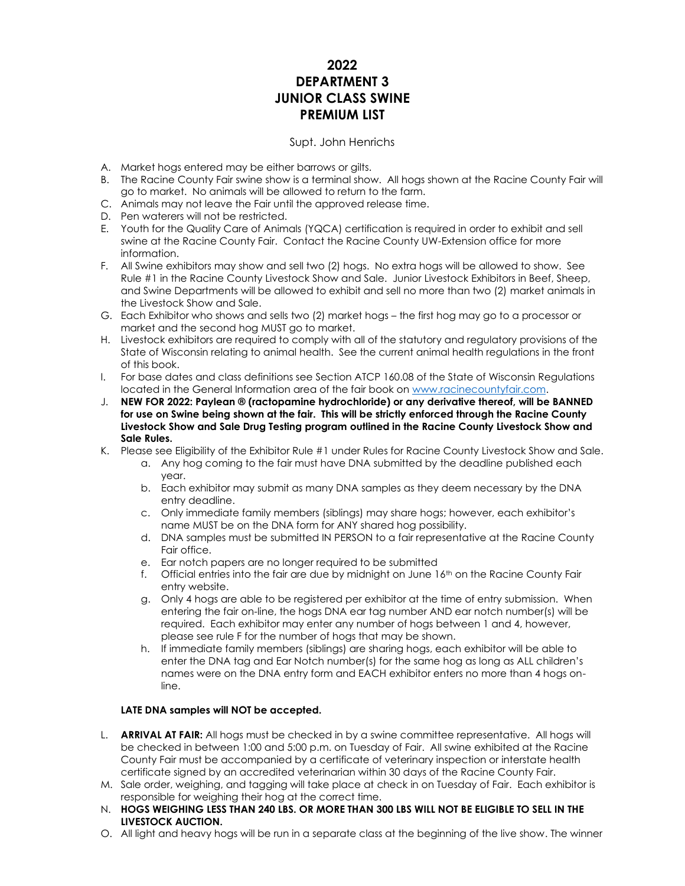# **2022 DEPARTMENT 3 JUNIOR CLASS SWINE PREMIUM LIST**

# Supt. John Henrichs

- A. Market hogs entered may be either barrows or gilts.
- B. The Racine County Fair swine show is a terminal show. All hogs shown at the Racine County Fair will go to market. No animals will be allowed to return to the farm.
- C. Animals may not leave the Fair until the approved release time.
- D. Pen waterers will not be restricted.
- E. Youth for the Quality Care of Animals (YQCA) certification is required in order to exhibit and sell swine at the Racine County Fair. Contact the Racine County UW-Extension office for more information.
- F. All Swine exhibitors may show and sell two (2) hogs. No extra hogs will be allowed to show. See Rule #1 in the Racine County Livestock Show and Sale. Junior Livestock Exhibitors in Beef, Sheep, and Swine Departments will be allowed to exhibit and sell no more than two (2) market animals in the Livestock Show and Sale.
- G. Each Exhibitor who shows and sells two (2) market hogs the first hog may go to a processor or market and the second hog MUST go to market.
- H. Livestock exhibitors are required to comply with all of the statutory and regulatory provisions of the State of Wisconsin relating to animal health. See the current animal health regulations in the front of this book.
- I. For base dates and class definitions see Section ATCP 160.08 of the State of Wisconsin Regulations located in the General Information area of the fair book o[n www.racinecountyfair.com.](http://www.racinecountyfair.com/)
- J. **NEW FOR 2022: Paylean ® (ractopamine hydrochloride) or any derivative thereof, will be BANNED for use on Swine being shown at the fair. This will be strictly enforced through the Racine County Livestock Show and Sale Drug Testing program outlined in the Racine County Livestock Show and Sale Rules.**
- K. Please see Eligibility of the Exhibitor Rule #1 under Rules for Racine County Livestock Show and Sale.
	- a. Any hog coming to the fair must have DNA submitted by the deadline published each year.
	- b. Each exhibitor may submit as many DNA samples as they deem necessary by the DNA entry deadline.
	- c. Only immediate family members (siblings) may share hogs; however, each exhibitor's name MUST be on the DNA form for ANY shared hog possibility.
	- d. DNA samples must be submitted IN PERSON to a fair representative at the Racine County Fair office.
	- e. Ear notch papers are no longer required to be submitted
	- f. Official entries into the fair are due by midnight on June  $16<sup>th</sup>$  on the Racine County Fair entry website.
	- g. Only 4 hogs are able to be registered per exhibitor at the time of entry submission. When entering the fair on-line, the hogs DNA ear tag number AND ear notch number(s) will be required. Each exhibitor may enter any number of hogs between 1 and 4, however, please see rule F for the number of hogs that may be shown.
	- h. If immediate family members (siblings) are sharing hogs, each exhibitor will be able to enter the DNA tag and Ear Notch number(s) for the same hog as long as ALL children's names were on the DNA entry form and EACH exhibitor enters no more than 4 hogs online.

# **LATE DNA samples will NOT be accepted.**

- L. **ARRIVAL AT FAIR:** All hogs must be checked in by a swine committee representative. All hogs will be checked in between 1:00 and 5:00 p.m. on Tuesday of Fair. All swine exhibited at the Racine County Fair must be accompanied by a certificate of veterinary inspection or interstate health certificate signed by an accredited veterinarian within 30 days of the Racine County Fair.
- M. Sale order, weighing, and tagging will take place at check in on Tuesday of Fair. Each exhibitor is responsible for weighing their hog at the correct time.
- N. **HOGS WEIGHING LESS THAN 240 LBS. OR MORE THAN 300 LBS WILL NOT BE ELIGIBLE TO SELL IN THE LIVESTOCK AUCTION.**
- O. All light and heavy hogs will be run in a separate class at the beginning of the live show. The winner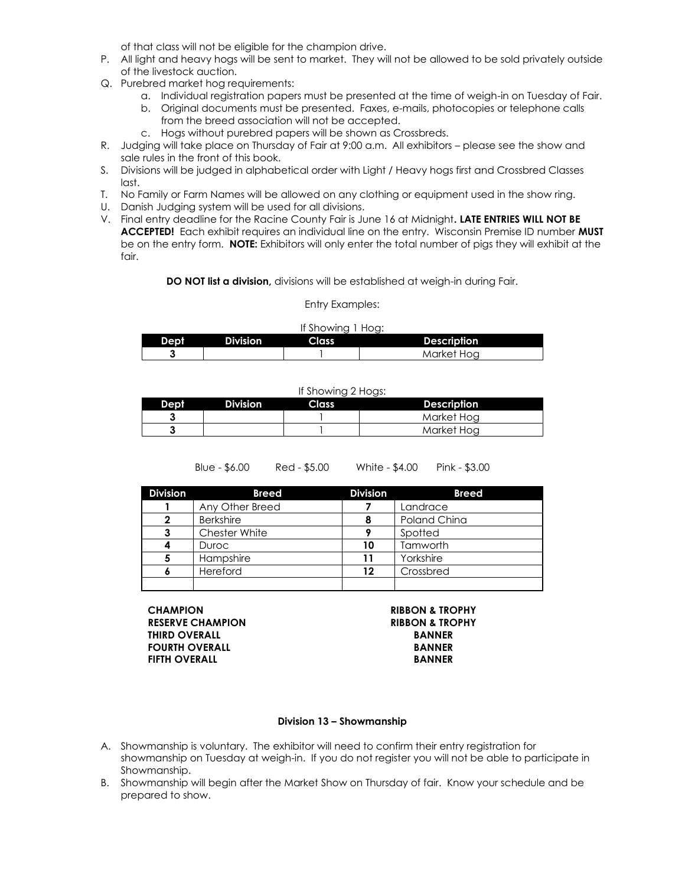of that class will not be eligible for the champion drive.

- P. All light and heavy hogs will be sent to market. They will not be allowed to be sold privately outside of the livestock auction.
- Q. Purebred market hog requirements:
	- a. Individual registration papers must be presented at the time of weigh-in on Tuesday of Fair.
	- b. Original documents must be presented. Faxes, e-mails, photocopies or telephone calls from the breed association will not be accepted.
	- c. Hogs without purebred papers will be shown as Crossbreds.
- R. Judging will take place on Thursday of Fair at 9:00 a.m. All exhibitors please see the show and sale rules in the front of this book.
- S. Divisions will be judged in alphabetical order with Light / Heavy hogs first and Crossbred Classes last.
- T. No Family or Farm Names will be allowed on any clothing or equipment used in the show ring.
- U. Danish Judging system will be used for all divisions.
- V. Final entry deadline for the Racine County Fair is June 16 at Midnight**. LATE ENTRIES WILL NOT BE ACCEPTED!** Each exhibit requires an individual line on the entry. Wisconsin Premise ID number **MUST** be on the entry form. **NOTE:** Exhibitors will only enter the total number of pigs they will exhibit at the fair.

**DO NOT list a division,** divisions will be established at weigh-in during Fair.

### Entry Examples:

| If Showing 1 Hog: |                 |       |                    |  |  |
|-------------------|-----------------|-------|--------------------|--|--|
| Dept              | <b>Division</b> | Class | <b>Description</b> |  |  |
|                   |                 |       | Market Hog         |  |  |

| If Showing 2 Hogs: |                 |       |                    |  |  |
|--------------------|-----------------|-------|--------------------|--|--|
| Dept               | <b>Division</b> | Class | <b>Description</b> |  |  |
|                    |                 |       | Market Hog         |  |  |
|                    |                 |       | Market Hoa         |  |  |

| $Blue - $6.00$ |  |
|----------------|--|
|----------------|--|

Red - \$5.00 White - \$4.00 Pink - \$3.00

| <b>Division</b> | <b>Breed</b>     | <b>Division</b> | <b>Breed</b> |
|-----------------|------------------|-----------------|--------------|
|                 | Any Other Breed  |                 | Landrace     |
| 2               | <b>Berkshire</b> |                 | Poland China |
| 3               | Chester White    |                 | Spotted      |
|                 | Duroc            | 10              | Tamworth     |
| 5               | Hampshire        | 11              | Yorkshire    |
| ٥               | Hereford         | 12              | Crossbred    |
|                 |                  |                 |              |

**CHAMPION RIBBON & TROPHY RESERVE CHAMPION RIBBON & TROPHY THIRD OVERALL BANNER FOURTH OVERALL BANNER FIFTH OVERALL BANNER**

### **Division 13 – Showmanship**

- A. Showmanship is voluntary. The exhibitor will need to confirm their entry registration for showmanship on Tuesday at weigh-in. If you do not register you will not be able to participate in Showmanship.
- B. Showmanship will begin after the Market Show on Thursday of fair. Know your schedule and be prepared to show.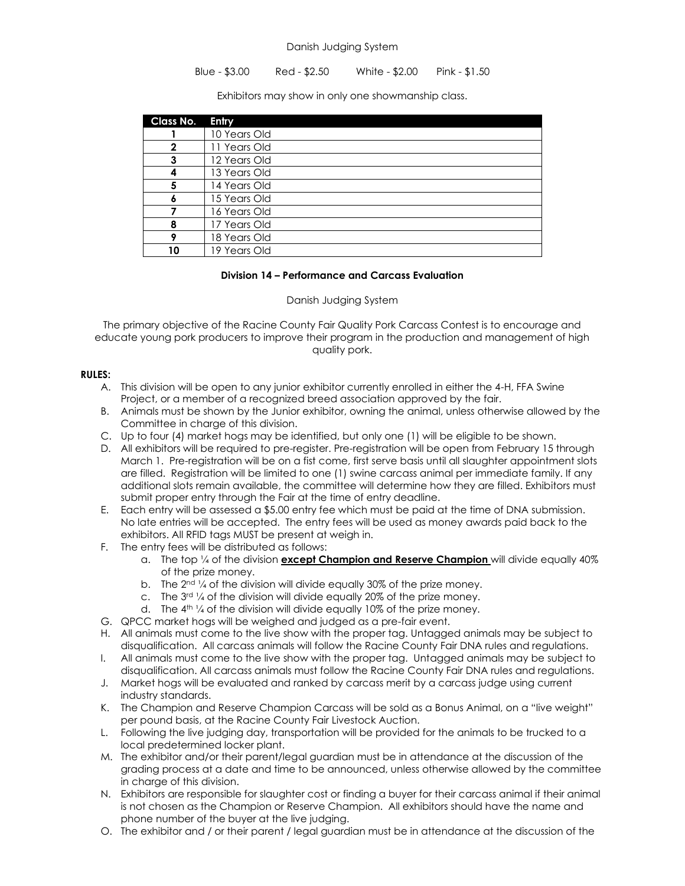### Danish Judging System

# Blue - \$3.00 Red - \$2.50 White - \$2.00 Pink - \$1.50

Exhibitors may show in only one showmanship class.

| Class No. | Entry        |
|-----------|--------------|
|           | 10 Years Old |
|           | 11 Years Old |
|           | 12 Years Old |
|           | 13 Years Old |
|           | 14 Years Old |
|           | 15 Years Old |
|           | 16 Years Old |
| 8         | 17 Years Old |
|           | 18 Years Old |
| 10        | 19 Years Old |

# **Division 14 – Performance and Carcass Evaluation**

# Danish Judging System

The primary objective of the Racine County Fair Quality Pork Carcass Contest is to encourage and educate young pork producers to improve their program in the production and management of high quality pork.

# **RULES:**

- A. This division will be open to any junior exhibitor currently enrolled in either the 4-H, FFA Swine Project, or a member of a recognized breed association approved by the fair.
- B. Animals must be shown by the Junior exhibitor, owning the animal, unless otherwise allowed by the Committee in charge of this division.
- C. Up to four (4) market hogs may be identified, but only one (1) will be eligible to be shown.
- D. All exhibitors will be required to pre-register. Pre-registration will be open from February 15 through March 1. Pre-registration will be on a fist come, first serve basis until all slaughter appointment slots are filled. Registration will be limited to one (1) swine carcass animal per immediate family. If any additional slots remain available, the committee will determine how they are filled. Exhibitors must submit proper entry through the Fair at the time of entry deadline.
- E. Each entry will be assessed a \$5.00 entry fee which must be paid at the time of DNA submission. No late entries will be accepted. The entry fees will be used as money awards paid back to the exhibitors. All RFID tags MUST be present at weigh in.
- F. The entry fees will be distributed as follows:
	- a. The top ¼ of the division **except Champion and Reserve Champion** will divide equally 40% of the prize money.
	- b. The  $2^{nd}$  % of the division will divide equally 30% of the prize money.
	- c. The  $3^{rd}$  1/4 of the division will divide equally 20% of the prize money.
	- d. The  $4<sup>th</sup>$  % of the division will divide equally 10% of the prize money.
- G. QPCC market hogs will be weighed and judged as a pre-fair event.
- H. All animals must come to the live show with the proper tag. Untagged animals may be subject to disqualification. All carcass animals will follow the Racine County Fair DNA rules and regulations.
- I. All animals must come to the live show with the proper tag. Untagged animals may be subject to disqualification. All carcass animals must follow the Racine County Fair DNA rules and regulations.
- J. Market hogs will be evaluated and ranked by carcass merit by a carcass judge using current industry standards.
- K. The Champion and Reserve Champion Carcass will be sold as a Bonus Animal, on a "live weight" per pound basis, at the Racine County Fair Livestock Auction.
- L. Following the live judging day, transportation will be provided for the animals to be trucked to a local predetermined locker plant.
- M. The exhibitor and/or their parent/legal guardian must be in attendance at the discussion of the grading process at a date and time to be announced, unless otherwise allowed by the committee in charge of this division.
- N. Exhibitors are responsible for slaughter cost or finding a buyer for their carcass animal if their animal is not chosen as the Champion or Reserve Champion. All exhibitors should have the name and phone number of the buyer at the live judging.
- O. The exhibitor and / or their parent / legal guardian must be in attendance at the discussion of the